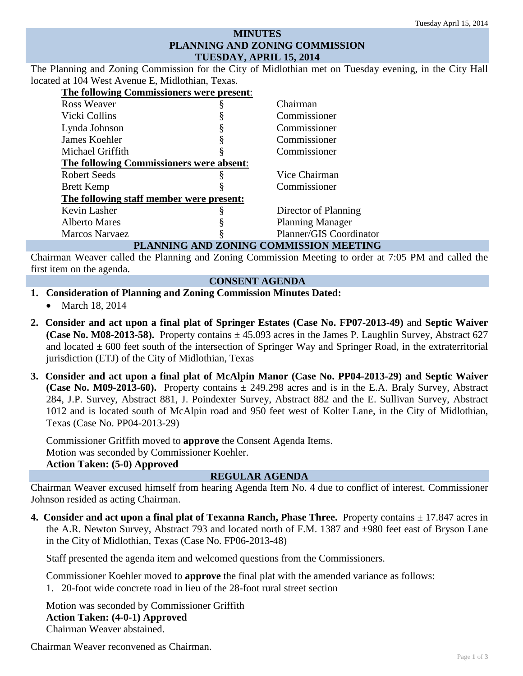# **MINUTES PLANNING AND ZONING COMMISSION TUESDAY, APRIL 15, 2014**

The Planning and Zoning Commission for the City of Midlothian met on Tuesday evening, in the City Hall located at 104 West Avenue E, Midlothian, Texas.

| The following Commissioners were present: |  |                         |
|-------------------------------------------|--|-------------------------|
| <b>Ross Weaver</b>                        |  | Chairman                |
| Vicki Collins                             |  | Commissioner            |
| Lynda Johnson                             |  | Commissioner            |
| James Koehler                             |  | Commissioner            |
| Michael Griffith                          |  | Commissioner            |
| The following Commissioners were absent:  |  |                         |
| <b>Robert Seeds</b>                       |  | Vice Chairman           |
| <b>Brett Kemp</b>                         |  | Commissioner            |
| The following staff member were present:  |  |                         |
| Kevin Lasher                              |  | Director of Planning    |
| <b>Alberto Mares</b>                      |  | <b>Planning Manager</b> |
| <b>Marcos Narvaez</b>                     |  | Planner/GIS Coordinator |
| PLANNING AND ZONING COMMISSION MEETING    |  |                         |

Chairman Weaver called the Planning and Zoning Commission Meeting to order at 7:05 PM and called the first item on the agenda.

## **CONSENT AGENDA**

# **1. Consideration of Planning and Zoning Commission Minutes Dated:**

- March 18, 2014
- **2. Consider and act upon a final plat of Springer Estates (Case No. FP07-2013-49)** and **Septic Waiver (Case No. M08-2013-58).** Property contains  $\pm$  45.093 acres in the James P. Laughlin Survey, Abstract 627 and located  $\pm$  600 feet south of the intersection of Springer Way and Springer Road, in the extraterritorial jurisdiction (ETJ) of the City of Midlothian, Texas
- **3. Consider and act upon a final plat of McAlpin Manor (Case No. PP04-2013-29) and Septic Waiver (Case No. M09-2013-60).** Property contains ± 249.298 acres and is in the E.A. Braly Survey, Abstract 284, J.P. Survey, Abstract 881, J. Poindexter Survey, Abstract 882 and the E. Sullivan Survey, Abstract 1012 and is located south of McAlpin road and 950 feet west of Kolter Lane, in the City of Midlothian, Texas (Case No. PP04-2013-29)

Commissioner Griffith moved to **approve** the Consent Agenda Items. Motion was seconded by Commissioner Koehler. **Action Taken: (5-0) Approved**

## **REGULAR AGENDA**

Chairman Weaver excused himself from hearing Agenda Item No. 4 due to conflict of interest. Commissioner Johnson resided as acting Chairman.

**4. Consider and act upon a final plat of Texanna Ranch, Phase Three.** Property contains  $\pm$  17.847 acres in the A.R. Newton Survey, Abstract 793 and located north of F.M. 1387 and ±980 feet east of Bryson Lane in the City of Midlothian, Texas (Case No. FP06-2013-48)

Staff presented the agenda item and welcomed questions from the Commissioners.

Commissioner Koehler moved to **approve** the final plat with the amended variance as follows: 1. 20-foot wide concrete road in lieu of the 28-foot rural street section

Motion was seconded by Commissioner Griffith **Action Taken: (4-0-1) Approved** Chairman Weaver abstained.

Chairman Weaver reconvened as Chairman.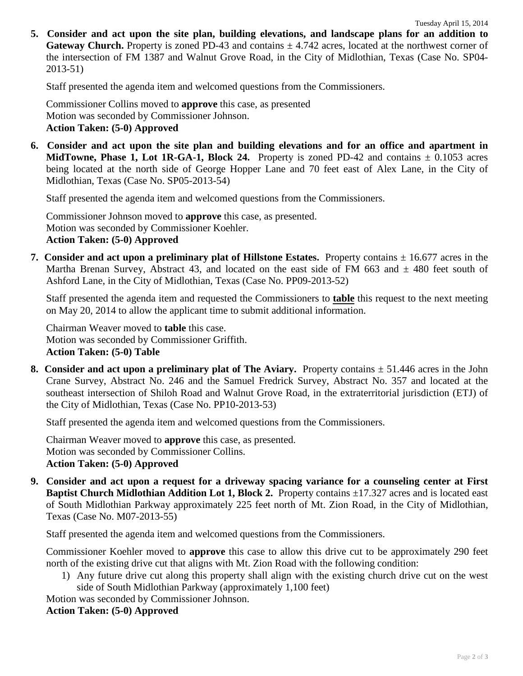**5. Consider and act upon the site plan, building elevations, and landscape plans for an addition to Gateway Church.** Property is zoned PD-43 and contains  $\pm$  4.742 acres, located at the northwest corner of the intersection of FM 1387 and Walnut Grove Road, in the City of Midlothian, Texas (Case No. SP04- 2013-51)

Staff presented the agenda item and welcomed questions from the Commissioners.

Commissioner Collins moved to **approve** this case, as presented Motion was seconded by Commissioner Johnson. **Action Taken: (5-0) Approved**

**6. Consider and act upon the site plan and building elevations and for an office and apartment in MidTowne, Phase 1, Lot 1R-GA-1, Block 24.** Property is zoned PD-42 and contains  $\pm$  0.1053 acres being located at the north side of George Hopper Lane and 70 feet east of Alex Lane, in the City of Midlothian, Texas (Case No. SP05-2013-54)

Staff presented the agenda item and welcomed questions from the Commissioners.

Commissioner Johnson moved to **approve** this case, as presented. Motion was seconded by Commissioner Koehler. **Action Taken: (5-0) Approved**

**7. Consider and act upon a preliminary plat of Hillstone Estates.** Property contains  $\pm$  16.677 acres in the Martha Brenan Survey, Abstract 43, and located on the east side of FM 663 and  $\pm$  480 feet south of Ashford Lane, in the City of Midlothian, Texas (Case No. PP09-2013-52)

Staff presented the agenda item and requested the Commissioners to **table** this request to the next meeting on May 20, 2014 to allow the applicant time to submit additional information.

Chairman Weaver moved to **table** this case. Motion was seconded by Commissioner Griffith. **Action Taken: (5-0) Table**

**8. Consider and act upon a preliminary plat of The Aviary.** Property contains  $\pm$  51.446 acres in the John Crane Survey, Abstract No. 246 and the Samuel Fredrick Survey, Abstract No. 357 and located at the southeast intersection of Shiloh Road and Walnut Grove Road, in the extraterritorial jurisdiction (ETJ) of the City of Midlothian, Texas (Case No. PP10-2013-53)

Staff presented the agenda item and welcomed questions from the Commissioners.

Chairman Weaver moved to **approve** this case, as presented. Motion was seconded by Commissioner Collins. **Action Taken: (5-0) Approved**

**9. Consider and act upon a request for a driveway spacing variance for a counseling center at First Baptist Church Midlothian Addition Lot 1, Block 2.** Property contains  $\pm$ 17.327 acres and is located east of South Midlothian Parkway approximately 225 feet north of Mt. Zion Road, in the City of Midlothian, Texas (Case No. M07-2013-55)

Staff presented the agenda item and welcomed questions from the Commissioners.

Commissioner Koehler moved to **approve** this case to allow this drive cut to be approximately 290 feet north of the existing drive cut that aligns with Mt. Zion Road with the following condition:

1) Any future drive cut along this property shall align with the existing church drive cut on the west side of South Midlothian Parkway (approximately 1,100 feet)

Motion was seconded by Commissioner Johnson.

## **Action Taken: (5-0) Approved**